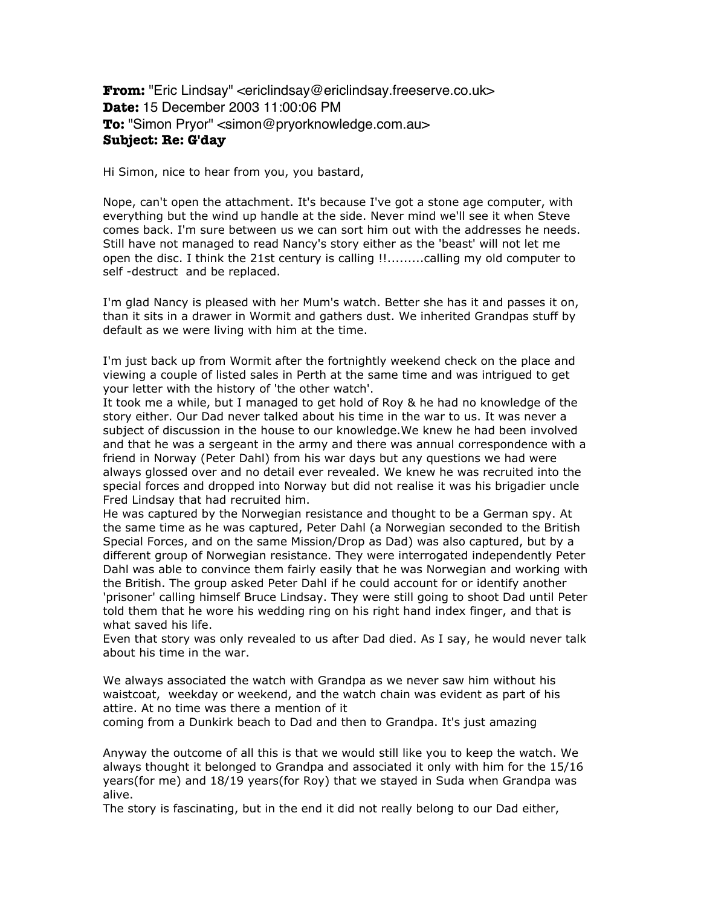**From:** "Eric Lindsay" <ericlindsay@ericlindsay.freeserve.co.uk> **Date:** 15 December 2003 11:00:06 PM **To:** "Simon Pryor" <simon@pryorknowledge.com.au> **Subject: Re: G'day**

Hi Simon, nice to hear from you, you bastard,

Nope, can't open the attachment. It's because I've got a stone age computer, with everything but the wind up handle at the side. Never mind we'll see it when Steve comes back. I'm sure between us we can sort him out with the addresses he needs. Still have not managed to read Nancy's story either as the 'beast' will not let me open the disc. I think the 21st century is calling !!.........calling my old computer to self -destruct and be replaced.

I'm glad Nancy is pleased with her Mum's watch. Better she has it and passes it on, than it sits in a drawer in Wormit and gathers dust. We inherited Grandpas stuff by default as we were living with him at the time.

I'm just back up from Wormit after the fortnightly weekend check on the place and viewing a couple of listed sales in Perth at the same time and was intrigued to get your letter with the history of 'the other watch'.

It took me a while, but I managed to get hold of Roy & he had no knowledge of the story either. Our Dad never talked about his time in the war to us. It was never a subject of discussion in the house to our knowledge.We knew he had been involved and that he was a sergeant in the army and there was annual correspondence with a friend in Norway (Peter Dahl) from his war days but any questions we had were always glossed over and no detail ever revealed. We knew he was recruited into the special forces and dropped into Norway but did not realise it was his brigadier uncle Fred Lindsay that had recruited him.

He was captured by the Norwegian resistance and thought to be a German spy. At the same time as he was captured, Peter Dahl (a Norwegian seconded to the British Special Forces, and on the same Mission/Drop as Dad) was also captured, but by a different group of Norwegian resistance. They were interrogated independently Peter Dahl was able to convince them fairly easily that he was Norwegian and working with the British. The group asked Peter Dahl if he could account for or identify another 'prisoner' calling himself Bruce Lindsay. They were still going to shoot Dad until Peter told them that he wore his wedding ring on his right hand index finger, and that is what saved his life.

Even that story was only revealed to us after Dad died. As I say, he would never talk about his time in the war.

We always associated the watch with Grandpa as we never saw him without his waistcoat, weekday or weekend, and the watch chain was evident as part of his attire. At no time was there a mention of it

coming from a Dunkirk beach to Dad and then to Grandpa. It's just amazing

Anyway the outcome of all this is that we would still like you to keep the watch. We always thought it belonged to Grandpa and associated it only with him for the 15/16 years(for me) and 18/19 years(for Roy) that we stayed in Suda when Grandpa was alive.

The story is fascinating, but in the end it did not really belong to our Dad either,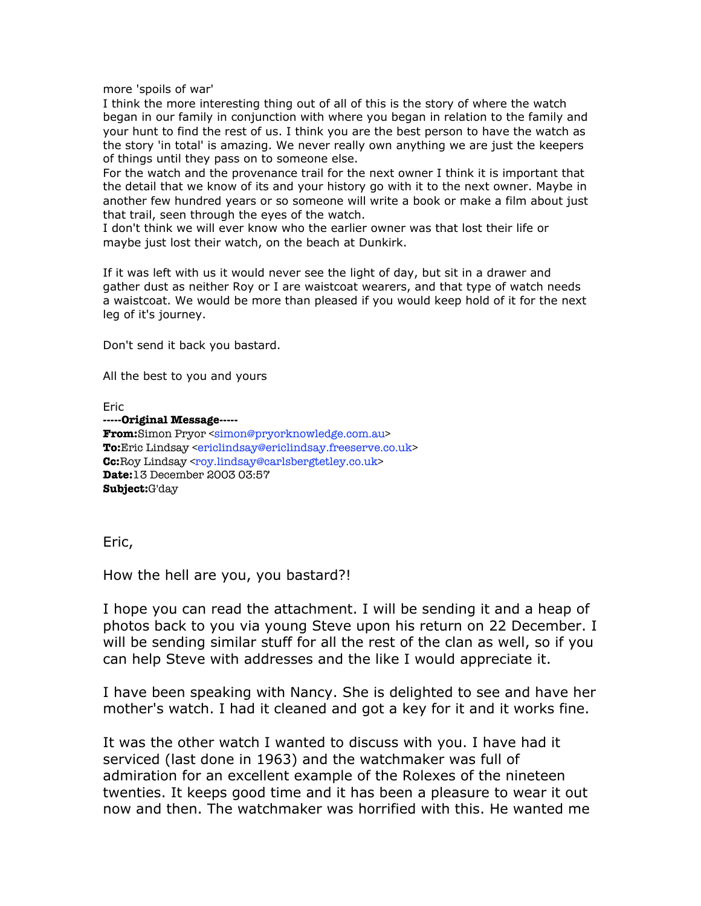more 'spoils of war'

I think the more interesting thing out of all of this is the story of where the watch began in our family in conjunction with where you began in relation to the family and your hunt to find the rest of us. I think you are the best person to have the watch as the story 'in total' is amazing. We never really own anything we are just the keepers of things until they pass on to someone else.

For the watch and the provenance trail for the next owner I think it is important that the detail that we know of its and your history go with it to the next owner. Maybe in another few hundred years or so someone will write a book or make a film about just that trail, seen through the eyes of the watch.

I don't think we will ever know who the earlier owner was that lost their life or maybe just lost their watch, on the beach at Dunkirk.

If it was left with us it would never see the light of day, but sit in a drawer and gather dust as neither Roy or I are waistcoat wearers, and that type of watch needs a waistcoat. We would be more than pleased if you would keep hold of it for the next leg of it's journey.

Don't send it back you bastard.

All the best to you and yours

Eric **-----Original Message----- From:**Simon Pryor <simon@pryorknowledge.com.au> **To:**Eric Lindsay <ericlindsay@ericlindsay.freeserve.co.uk> **Cc:**Roy Lindsay <roy.lindsay@carlsbergtetley.co.uk> **Date:**13 December 2003 03:57 **Subject:**G'day

Eric,

How the hell are you, you bastard?!

I hope you can read the attachment. I will be sending it and a heap of photos back to you via young Steve upon his return on 22 December. I will be sending similar stuff for all the rest of the clan as well, so if you can help Steve with addresses and the like I would appreciate it.

I have been speaking with Nancy. She is delighted to see and have her mother's watch. I had it cleaned and got a key for it and it works fine.

It was the other watch I wanted to discuss with you. I have had it serviced (last done in 1963) and the watchmaker was full of admiration for an excellent example of the Rolexes of the nineteen twenties. It keeps good time and it has been a pleasure to wear it out now and then. The watchmaker was horrified with this. He wanted me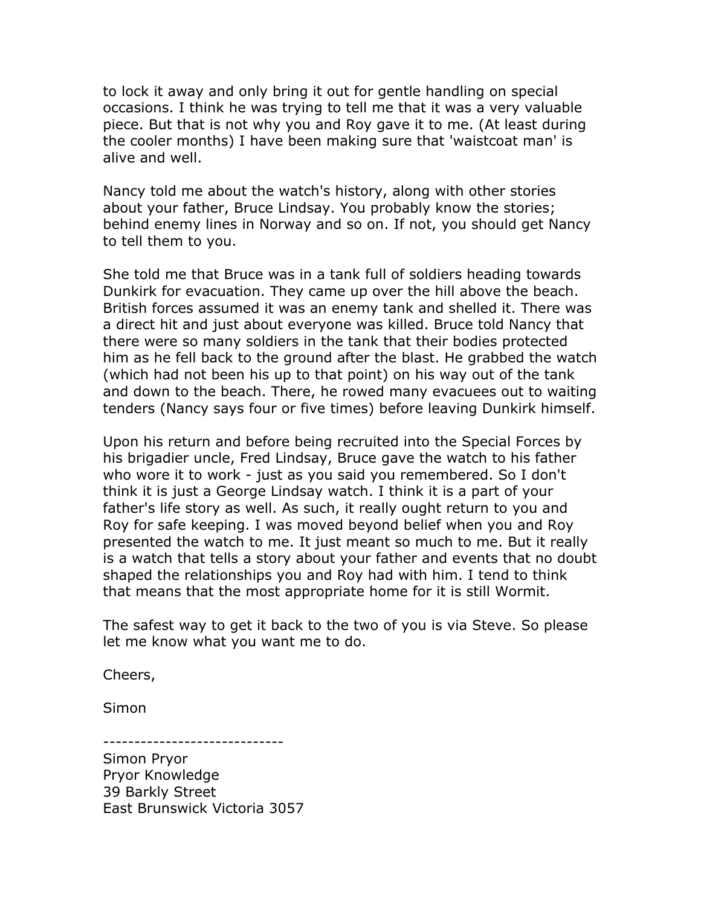to lock it away and only bring it out for gentle handling on special occasions. I think he was trying to tell me that it was a very valuable piece. But that is not why you and Roy gave it to me. (At least during the cooler months) I have been making sure that 'waistcoat man' is alive and well.

Nancy told me about the watch's history, along with other stories about your father, Bruce Lindsay. You probably know the stories; behind enemy lines in Norway and so on. If not, you should get Nancy to tell them to you.

She told me that Bruce was in a tank full of soldiers heading towards Dunkirk for evacuation. They came up over the hill above the beach. British forces assumed it was an enemy tank and shelled it. There was a direct hit and just about everyone was killed. Bruce told Nancy that there were so many soldiers in the tank that their bodies protected him as he fell back to the ground after the blast. He grabbed the watch (which had not been his up to that point) on his way out of the tank and down to the beach. There, he rowed many evacuees out to waiting tenders (Nancy says four or five times) before leaving Dunkirk himself.

Upon his return and before being recruited into the Special Forces by his brigadier uncle, Fred Lindsay, Bruce gave the watch to his father who wore it to work - just as you said you remembered. So I don't think it is just a George Lindsay watch. I think it is a part of your father's life story as well. As such, it really ought return to you and Roy for safe keeping. I was moved beyond belief when you and Roy presented the watch to me. It just meant so much to me. But it really is a watch that tells a story about your father and events that no doubt shaped the relationships you and Roy had with him. I tend to think that means that the most appropriate home for it is still Wormit.

The safest way to get it back to the two of you is via Steve. So please let me know what you want me to do.

Cheers,

Simon

-----------------------------

Simon Pryor Pryor Knowledge 39 Barkly Street East Brunswick Victoria 3057